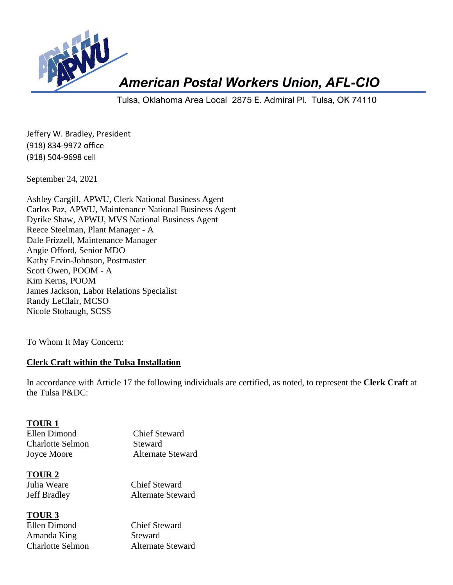

*American Postal Workers Union, AFL-CIO*

Tulsa, Oklahoma Area Local 2875 E. Admiral Pl. Tulsa, OK 74110

Jeffery W. Bradley, President (918) 834-9972 office (918) 504-9698 cell

September 24, 2021

Ashley Cargill, APWU, Clerk National Business Agent Carlos Paz, APWU, Maintenance National Business Agent Dyrike Shaw, APWU, MVS National Business Agent Reece Steelman, Plant Manager - A Dale Frizzell, Maintenance Manager Angie Offord, Senior MDO Kathy Ervin-Johnson, Postmaster Scott Owen, POOM - A Kim Kerns, POOM James Jackson, Labor Relations Specialist Randy LeClair, MCSO Nicole Stobaugh, SCSS

To Whom It May Concern:

### **Clerk Craft within the Tulsa Installation**

In accordance with Article 17 the following individuals are certified, as noted, to represent the **Clerk Craft** at the Tulsa P&DC:

#### **TOUR 1**

| Ellen Dimond     |  |
|------------------|--|
| Charlotte Selmon |  |
| Joyce Moore      |  |

Chief Steward Steward Alternate Steward

**TOUR 2**

Julia Weare Chief Steward Jeff Bradley Alternate Steward

**TOUR 3** Ellen Dimond Chief Steward Amanda King Steward Charlotte Selmon Alternate Steward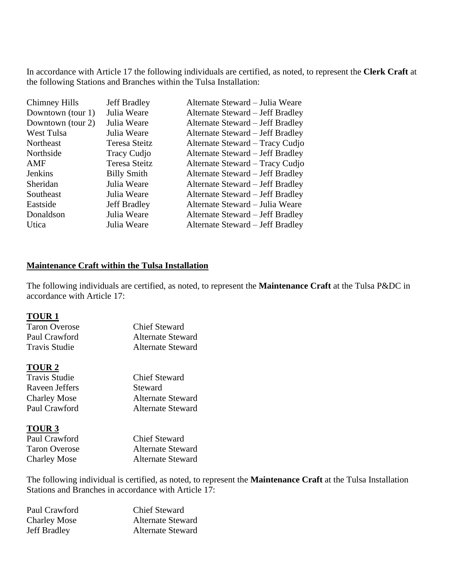In accordance with Article 17 the following individuals are certified, as noted, to represent the **Clerk Craft** at the following Stations and Branches within the Tulsa Installation:

| Chimney Hills     | <b>Jeff Bradley</b> | Alternate Steward - Julia Weare  |
|-------------------|---------------------|----------------------------------|
| Downtown (tour 1) | Julia Weare         | Alternate Steward - Jeff Bradley |
| Downtown (tour 2) | Julia Weare         | Alternate Steward – Jeff Bradley |
| West Tulsa        | Julia Weare         | Alternate Steward – Jeff Bradley |
| Northeast         | Teresa Steitz       | Alternate Steward - Tracy Cudjo  |
| Northside         | <b>Tracy Cudjo</b>  | Alternate Steward – Jeff Bradley |
| AMF               | Teresa Steitz       | Alternate Steward - Tracy Cudjo  |
| Jenkins           | <b>Billy Smith</b>  | Alternate Steward - Jeff Bradley |
| Sheridan          | Julia Weare         | Alternate Steward – Jeff Bradley |
| Southeast         | Julia Weare         | Alternate Steward – Jeff Bradley |
| Eastside          | Jeff Bradley        | Alternate Steward - Julia Weare  |
| Donaldson         | Julia Weare         | Alternate Steward – Jeff Bradley |
| Utica             | Julia Weare         | Alternate Steward – Jeff Bradley |
|                   |                     |                                  |

# **Maintenance Craft within the Tulsa Installation**

The following individuals are certified, as noted, to represent the **Maintenance Craft** at the Tulsa P&DC in accordance with Article 17:

#### **TOUR 1**

| <b>Chief Steward</b>     |
|--------------------------|
| <b>Alternate Steward</b> |
| <b>Alternate Steward</b> |
|                          |

### **TOUR 2**

| <b>Chief Steward</b>     |
|--------------------------|
| Steward                  |
| <b>Alternate Steward</b> |
| Alternate Steward        |
|                          |

### **TOUR 3**

| Paul Crawford        | <b>Chief Steward</b>     |
|----------------------|--------------------------|
| <b>Taron Overose</b> | <b>Alternate Steward</b> |
| <b>Charley Mose</b>  | <b>Alternate Steward</b> |

The following individual is certified, as noted, to represent the **Maintenance Craft** at the Tulsa Installation Stations and Branches in accordance with Article 17:

| <b>Chief Steward</b>     |
|--------------------------|
| <b>Alternate Steward</b> |
| <b>Alternate Steward</b> |
|                          |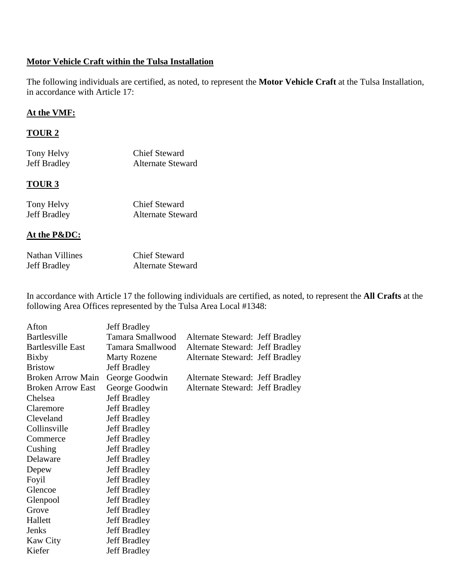# **Motor Vehicle Craft within the Tulsa Installation**

The following individuals are certified, as noted, to represent the **Motor Vehicle Craft** at the Tulsa Installation, in accordance with Article 17:

### **At the VMF:**

## **TOUR 2**

| Tony Helvy<br><b>Jeff Bradley</b> | <b>Chief Steward</b><br>Alternate Steward |  |
|-----------------------------------|-------------------------------------------|--|
| <b>TOUR 3</b>                     |                                           |  |
| $T_{\text{max}}$ , Halen          | $C1: C1:2:2$                              |  |

| Tony Helvy          | <b>Chief Steward</b>     |
|---------------------|--------------------------|
| <b>Jeff Bradley</b> | <b>Alternate Steward</b> |

## **At the P&DC:**

| Nathan Villines     | <b>Chief Steward</b>     |
|---------------------|--------------------------|
| <b>Jeff Bradley</b> | <b>Alternate Steward</b> |

In accordance with Article 17 the following individuals are certified, as noted, to represent the **All Crafts** at the following Area Offices represented by the Tulsa Area Local #1348:

| Afton                    | <b>Jeff Bradley</b> |                                        |  |
|--------------------------|---------------------|----------------------------------------|--|
| <b>Bartlesville</b>      | Tamara Smallwood    | <b>Alternate Steward: Jeff Bradley</b> |  |
| <b>Bartlesville East</b> | Tamara Smallwood    | <b>Alternate Steward: Jeff Bradley</b> |  |
| Bixby                    | <b>Marty Rozene</b> | <b>Alternate Steward: Jeff Bradley</b> |  |
| <b>Bristow</b>           | <b>Jeff Bradley</b> |                                        |  |
| <b>Broken Arrow Main</b> | George Goodwin      | <b>Alternate Steward: Jeff Bradley</b> |  |
| <b>Broken Arrow East</b> | George Goodwin      | <b>Alternate Steward: Jeff Bradley</b> |  |
| Chelsea                  | <b>Jeff Bradley</b> |                                        |  |
| Claremore                | <b>Jeff Bradley</b> |                                        |  |
| Cleveland                | <b>Jeff Bradley</b> |                                        |  |
| Collinsville             | <b>Jeff Bradley</b> |                                        |  |
| Commerce                 | <b>Jeff Bradley</b> |                                        |  |
| Cushing                  | <b>Jeff Bradley</b> |                                        |  |
| Delaware                 | <b>Jeff Bradley</b> |                                        |  |
| Depew                    | <b>Jeff Bradley</b> |                                        |  |
| Foyil                    | <b>Jeff Bradley</b> |                                        |  |
| Glencoe                  | <b>Jeff Bradley</b> |                                        |  |
| Glenpool                 | <b>Jeff Bradley</b> |                                        |  |
| Grove                    | <b>Jeff Bradley</b> |                                        |  |
| Hallett                  | <b>Jeff Bradley</b> |                                        |  |
| <b>Jenks</b>             | <b>Jeff Bradley</b> |                                        |  |
| <b>Kaw City</b>          | <b>Jeff Bradley</b> |                                        |  |
| Kiefer                   | <b>Jeff Bradley</b> |                                        |  |